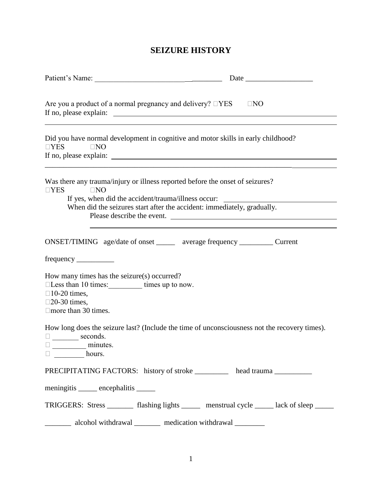# **SEIZURE HISTORY**

| Are you a product of a normal pregnancy and delivery? $\square$ YES<br>$\Box$ NO                                                                                                                                                                                               |                                                                                               |  |  |  |  |  |  |  |
|--------------------------------------------------------------------------------------------------------------------------------------------------------------------------------------------------------------------------------------------------------------------------------|-----------------------------------------------------------------------------------------------|--|--|--|--|--|--|--|
| $\Box$ YES<br>$\Box$ NO                                                                                                                                                                                                                                                        | Did you have normal development in cognitive and motor skills in early childhood?             |  |  |  |  |  |  |  |
| Was there any trauma/injury or illness reported before the onset of seizures?<br>$\square$ NO<br>$\square$ YES<br>If yes, when did the accident/trauma/illness occur:<br>When did the seizures start after the accident: immediately, gradually.<br>Please describe the event. |                                                                                               |  |  |  |  |  |  |  |
| How many times has the seizure(s) occurred?<br>□Less than 10 times: _________ times up to now.<br>$\square$ 10-20 times,<br>$\square$ 20-30 times,<br>$\Box$ more than 30 times.                                                                                               | ONSET/TIMING age/date of onset ______ average frequency ____________ Current                  |  |  |  |  |  |  |  |
| $\square$ seconds.<br>minutes.<br>nours.                                                                                                                                                                                                                                       | How long does the seizure last? (Include the time of unconsciousness not the recovery times). |  |  |  |  |  |  |  |
| meningitis ______ encephalitis ______                                                                                                                                                                                                                                          | PRECIPITATING FACTORS: history of stroke ________ head trauma _________                       |  |  |  |  |  |  |  |
| alcohol withdrawal ________ medication withdrawal ________                                                                                                                                                                                                                     | TRIGGERS: Stress ________ flashing lights ______ menstrual cycle _____ lack of sleep _____    |  |  |  |  |  |  |  |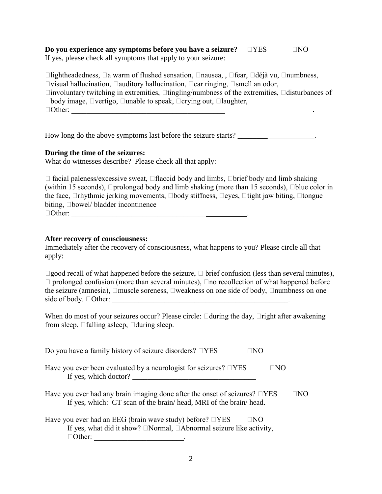#### **Do you experience any symptoms before you have a seizure?**  $\Box$ YES  $\Box$ NO If yes, please check all symptoms that apply to your seizure:

 $\Box$ lightheadedness,  $\Box$ a warm of flushed sensation,  $\Box$ nausea, ,  $\Box$ fear,  $\Box$ déjà vu,  $\Box$ numbness,  $\Box$ visual hallucination,  $\Box$ auditory hallucination,  $\Box$ ear ringing,  $\Box$ smell an odor,  $\Box$ involuntary twitching in extremities,  $\Box$ tingling/numbness of the extremities,  $\Box$ disturbances of body image,  $\Box$ vertigo,  $\Box$ unable to speak,  $\Box$ crying out,  $\Box$ laughter,  $\Box$  Other:

How long do the above symptoms last before the seizure starts? \_\_\_\_\_\_\_\_\_\_\_\_\_\_\_\_\_

### **During the time of the seizures:**

What do witnesses describe? Please check all that apply:

| $\Box$ facial paleness/excessive sweat, $\Box$ flaccid body and limbs, $\Box$ brief body and limb shaking               |
|-------------------------------------------------------------------------------------------------------------------------|
| (within 15 seconds), $\Box$ prolonged body and limb shaking (more than 15 seconds), $\Box$ blue color in                |
| the face, $\Box$ rhythmic jerking movements, $\Box$ body stiffness, $\Box$ eyes, $\Box$ tight jaw biting, $\Box$ tongue |
| biting, $\Box$ bowel/ bladder incontinence                                                                              |
| $\Box$ Other:                                                                                                           |

## **After recovery of consciousness:**

Immediately after the recovery of consciousness, what happens to you? Please circle all that apply:

 $\Box$ good recall of what happened before the seizure,  $\Box$  brief confusion (less than several minutes),  $\Box$  prolonged confusion (more than several minutes),  $\Box$  no recollection of what happened before the seizure (amnesia),  $\Box$ muscle soreness,  $\Box$ weakness on one side of body,  $\Box$ numbness on one side of body.  $\Box$  Other:

When do most of your seizures occur? Please circle:  $\Box$ during the day,  $\Box$ right after awakening from sleep,  $\Box$  falling asleep,  $\Box$  during sleep.

| Do you have a family history of seizure disorders? $\square$ YES<br>⊺NO                                                                                                     |    |
|-----------------------------------------------------------------------------------------------------------------------------------------------------------------------------|----|
| Have you ever been evaluated by a neurologist for seizures? $\square$ YES<br>⊓NO<br>If yes, which doctor?                                                                   |    |
| Have you ever had any brain imaging done after the onset of seizures? $\Box$ YES<br>If yes, which: CT scan of the brain/head, MRI of the brain/head.                        | NΟ |
| Have you ever had an EEG (brain wave study) before? $\square$ YES<br>$\Box$ NO<br>If yes, what did it show? $\Box$ Normal, $\Box$ Abnormal seizure like activity,<br>Other: |    |